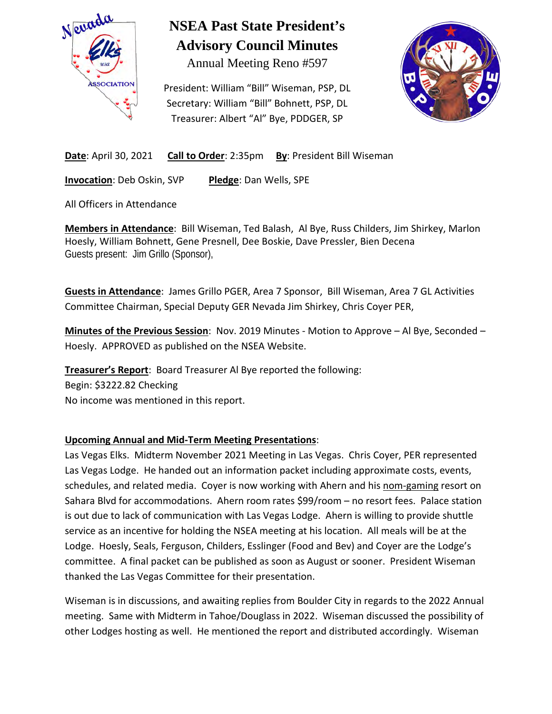

## **NSEA Past State President's Advisory Council Minutes**

Annual Meeting Reno #597

President: William "Bill" Wiseman, PSP, DL Secretary: William "Bill" Bohnett, PSP, DL Treasurer: Albert "Al" Bye, PDDGER, SP



**Date:** April 30, 2021 **Call to Order**: 2:35pm **By**: President Bill Wiseman

**Invocation**: Deb Oskin, SVP **Pledge**: Dan Wells, SPE

All Officers in Attendance

**Members in Attendance**: Bill Wiseman, Ted Balash, Al Bye, Russ Childers, Jim Shirkey, Marlon Hoesly, William Bohnett, Gene Presnell, Dee Boskie, Dave Pressler, Bien Decena Guests present: Jim Grillo (Sponsor),

**Guests in Attendance**: James Grillo PGER, Area 7 Sponsor, Bill Wiseman, Area 7 GL Activities Committee Chairman, Special Deputy GER Nevada Jim Shirkey, Chris Coyer PER,

**Minutes of the Previous Session**: Nov. 2019 Minutes - Motion to Approve – Al Bye, Seconded – Hoesly. APPROVED as published on the NSEA Website.

**Treasurer's Report**: Board Treasurer Al Bye reported the following:

Begin: \$3222.82 Checking

No income was mentioned in this report.

### **Upcoming Annual and Mid-Term Meeting Presentations**:

Las Vegas Elks. Midterm November 2021 Meeting in Las Vegas. Chris Coyer, PER represented Las Vegas Lodge. He handed out an information packet including approximate costs, events, schedules, and related media. Coyer is now working with Ahern and his nom-gaming resort on Sahara Blvd for accommodations. Ahern room rates \$99/room – no resort fees. Palace station is out due to lack of communication with Las Vegas Lodge. Ahern is willing to provide shuttle service as an incentive for holding the NSEA meeting at his location. All meals will be at the Lodge. Hoesly, Seals, Ferguson, Childers, Esslinger (Food and Bev) and Coyer are the Lodge's committee. A final packet can be published as soon as August or sooner. President Wiseman thanked the Las Vegas Committee for their presentation.

Wiseman is in discussions, and awaiting replies from Boulder City in regards to the 2022 Annual meeting. Same with Midterm in Tahoe/Douglass in 2022. Wiseman discussed the possibility of other Lodges hosting as well. He mentioned the report and distributed accordingly. Wiseman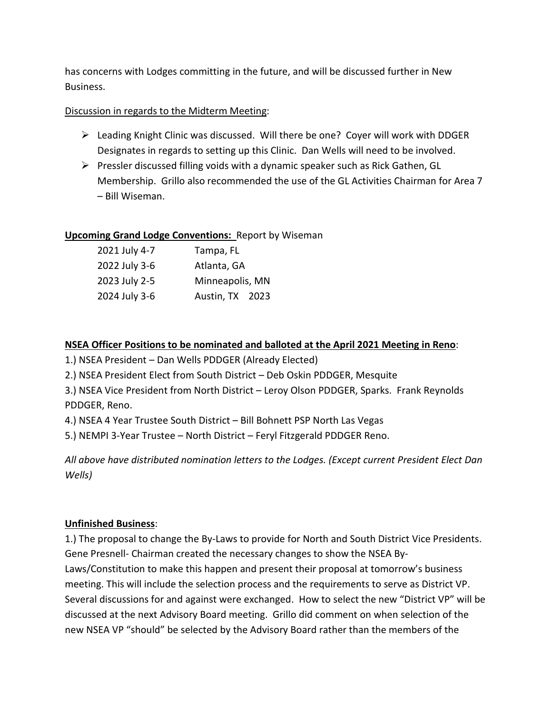has concerns with Lodges committing in the future, and will be discussed further in New Business.

### Discussion in regards to the Midterm Meeting:

- $\triangleright$  Leading Knight Clinic was discussed. Will there be one? Cover will work with DDGER Designates in regards to setting up this Clinic. Dan Wells will need to be involved.
- $\triangleright$  Pressler discussed filling voids with a dynamic speaker such as Rick Gathen, GL Membership. Grillo also recommended the use of the GL Activities Chairman for Area 7 – Bill Wiseman.

### **Upcoming Grand Lodge Conventions:** Report by Wiseman

| 2021 July 4-7 | Tampa, FL       |
|---------------|-----------------|
| 2022 July 3-6 | Atlanta, GA     |
| 2023 July 2-5 | Minneapolis, MN |
| 2024 July 3-6 | Austin, TX 2023 |

### **NSEA Officer Positions to be nominated and balloted at the April 2021 Meeting in Reno**:

1.) NSEA President – Dan Wells PDDGER (Already Elected)

2.) NSEA President Elect from South District – Deb Oskin PDDGER, Mesquite

3.) NSEA Vice President from North District – Leroy Olson PDDGER, Sparks. Frank Reynolds PDDGER, Reno.

4.) NSEA 4 Year Trustee South District – Bill Bohnett PSP North Las Vegas

5.) NEMPI 3-Year Trustee – North District – Feryl Fitzgerald PDDGER Reno.

*All above have distributed nomination letters to the Lodges. (Except current President Elect Dan Wells)* 

### **Unfinished Business**:

1.) The proposal to change the By-Laws to provide for North and South District Vice Presidents. Gene Presnell- Chairman created the necessary changes to show the NSEA By-Laws/Constitution to make this happen and present their proposal at tomorrow's business meeting. This will include the selection process and the requirements to serve as District VP. Several discussions for and against were exchanged. How to select the new "District VP" will be discussed at the next Advisory Board meeting. Grillo did comment on when selection of the new NSEA VP "should" be selected by the Advisory Board rather than the members of the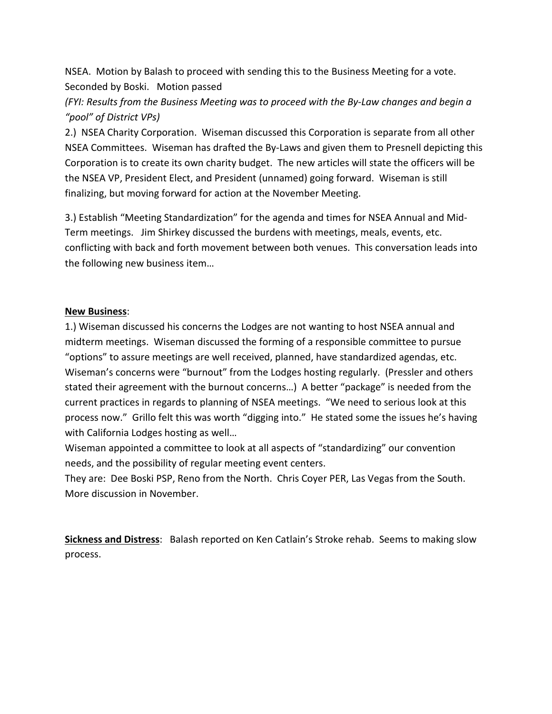NSEA. Motion by Balash to proceed with sending this to the Business Meeting for a vote. Seconded by Boski. Motion passed

*(FYI: Results from the Business Meeting was to proceed with the By-Law changes and begin a "pool" of District VPs)* 

2.) NSEA Charity Corporation. Wiseman discussed this Corporation is separate from all other NSEA Committees. Wiseman has drafted the By-Laws and given them to Presnell depicting this Corporation is to create its own charity budget. The new articles will state the officers will be the NSEA VP, President Elect, and President (unnamed) going forward. Wiseman is still finalizing, but moving forward for action at the November Meeting.

3.) Establish "Meeting Standardization" for the agenda and times for NSEA Annual and Mid-Term meetings. Jim Shirkey discussed the burdens with meetings, meals, events, etc. conflicting with back and forth movement between both venues. This conversation leads into the following new business item…

### **New Business**:

1.) Wiseman discussed his concerns the Lodges are not wanting to host NSEA annual and midterm meetings. Wiseman discussed the forming of a responsible committee to pursue "options" to assure meetings are well received, planned, have standardized agendas, etc. Wiseman's concerns were "burnout" from the Lodges hosting regularly. (Pressler and others stated their agreement with the burnout concerns…) A better "package" is needed from the current practices in regards to planning of NSEA meetings. "We need to serious look at this process now." Grillo felt this was worth "digging into." He stated some the issues he's having with California Lodges hosting as well…

Wiseman appointed a committee to look at all aspects of "standardizing" our convention needs, and the possibility of regular meeting event centers.

They are: Dee Boski PSP, Reno from the North. Chris Coyer PER, Las Vegas from the South. More discussion in November.

**Sickness and Distress**: Balash reported on Ken Catlain's Stroke rehab. Seems to making slow process.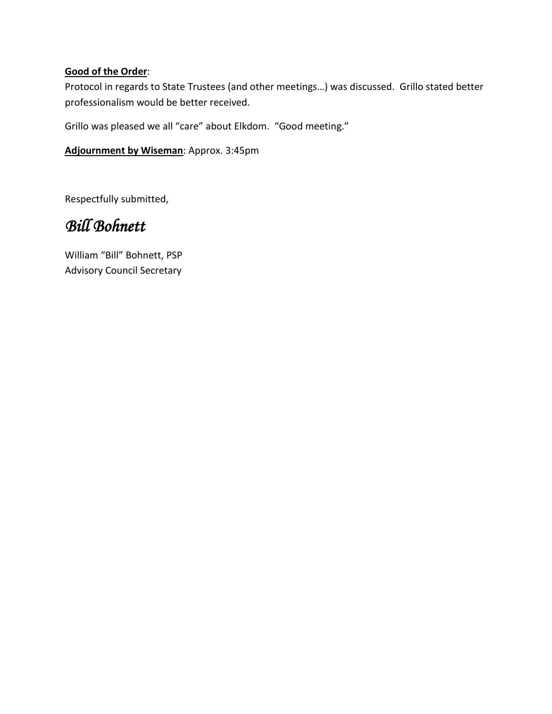### **Good of the Order**:

Protocol in regards to State Trustees (and other meetings…) was discussed. Grillo stated better professionalism would be better received.

Grillo was pleased we all "care" about Elkdom. "Good meeting."

**Adjournment by Wiseman**: Approx. 3:45pm

Respectfully submitted,

## *Bill Bohnett*

William "Bill" Bohnett, PSP Advisory Council Secretary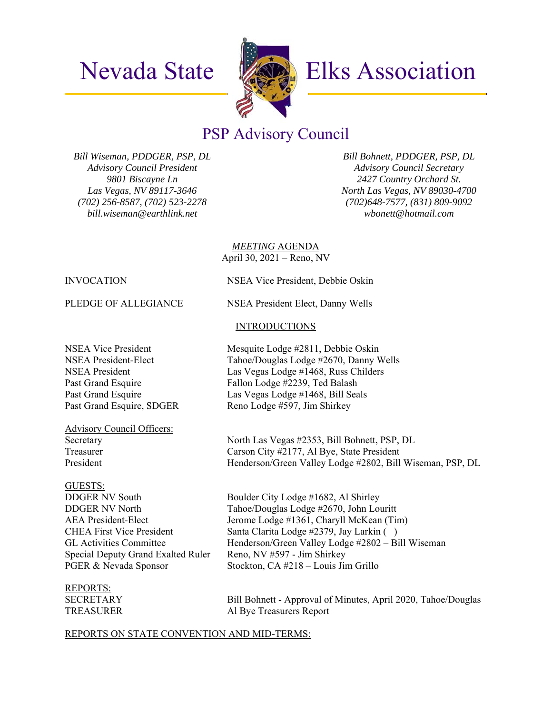

## Nevada State **MAD** Elks Association

### PSP Advisory Council

*Bill Wiseman, PDDGER, PSP, DL Advisory Council President 9801 Biscayne Ln Las Vegas, NV 89117-3646 (702) 256-8587, (702) 523-2278 bill.wiseman@earthlink.net* 

*Bill Bohnett, PDDGER, PSP, DL Advisory Council Secretary 2427 Country Orchard St. North Las Vegas, NV 89030-4700 (702)648-7577, (831) 809-9092 wbonett@hotmail.com*

*MEETING* AGENDA April 30, 2021 – Reno, NV

**INTRODUCTIONS** 

INVOCATION NSEA Vice President, Debbie Oskin

PLEDGE OF ALLEGIANCE NSEA President Elect, Danny Wells

NSEA Vice President Mesquite Lodge #2811, Debbie Oskin NSEA President-Elect Tahoe/Douglas Lodge #2670, Danny Wells NSEA President Las Vegas Lodge #1468, Russ Childers Past Grand Esquire Fallon Lodge #2239, Ted Balash Past Grand Esquire Las Vegas Lodge #1468, Bill Seals Past Grand Esquire, SDGER Reno Lodge #597, Jim Shirkey

Advisory Council Officers: Secretary North Las Vegas #2353, Bill Bohnett, PSP, DL Treasurer Carson City #2177, Al Bye, State President President Henderson/Green Valley Lodge #2802, Bill Wiseman, PSP, DL

### GUESTS:

Special Deputy Grand Exalted Ruler Reno, NV #597 - Jim Shirkey

# REPORTS:

DDGER NV South Boulder City Lodge #1682, Al Shirley DDGER NV North Tahoe/Douglas Lodge #2670, John Louritt AEA President-Elect Jerome Lodge #1361, Charyll McKean (Tim) CHEA First Vice President Santa Clarita Lodge #2379, Jay Larkin ( ) GL Activities Committee Henderson/Green Valley Lodge #2802 – Bill Wiseman PGER & Nevada Sponsor Stockton, CA #218 – Louis Jim Grillo

SECRETARY Bill Bohnett - Approval of Minutes, April 2020, Tahoe/Douglas TREASURER Al Bye Treasurers Report

### REPORTS ON STATE CONVENTION AND MID-TERMS: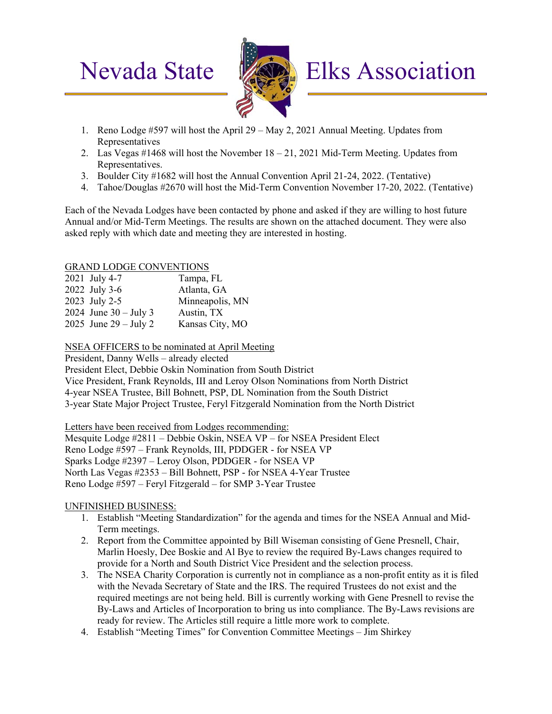

# Nevada State **Elks** Elks Association

- 1. Reno Lodge #597 will host the April 29 May 2, 2021 Annual Meeting. Updates from Representatives
- 2. Las Vegas #1468 will host the November 18 21, 2021 Mid-Term Meeting. Updates from Representatives.
- 3. Boulder City #1682 will host the Annual Convention April 21-24, 2022. (Tentative)
- 4. Tahoe/Douglas #2670 will host the Mid-Term Convention November 17-20, 2022. (Tentative)

Each of the Nevada Lodges have been contacted by phone and asked if they are willing to host future Annual and/or Mid-Term Meetings. The results are shown on the attached document. They were also asked reply with which date and meeting they are interested in hosting.

### GRAND LODGE CONVENTIONS

| 2021 July 4-7           | Tampa, FL       |
|-------------------------|-----------------|
| 2022 July 3-6           | Atlanta, GA     |
| 2023 July 2-5           | Minneapolis, MN |
| 2024 June $30 -$ July 3 | Austin, TX      |
| 2025 June $29 -$ July 2 | Kansas City, MO |

NSEA OFFICERS to be nominated at April Meeting

President, Danny Wells – already elected

President Elect, Debbie Oskin Nomination from South District

Vice President, Frank Reynolds, III and Leroy Olson Nominations from North District 4-year NSEA Trustee, Bill Bohnett, PSP, DL Nomination from the South District 3-year State Major Project Trustee, Feryl Fitzgerald Nomination from the North District

Letters have been received from Lodges recommending:

Mesquite Lodge #2811 – Debbie Oskin, NSEA VP – for NSEA President Elect Reno Lodge #597 – Frank Reynolds, III, PDDGER - for NSEA VP Sparks Lodge #2397 – Leroy Olson, PDDGER - for NSEA VP North Las Vegas #2353 – Bill Bohnett, PSP - for NSEA 4-Year Trustee Reno Lodge #597 – Feryl Fitzgerald – for SMP 3-Year Trustee

### UNFINISHED BUSINESS:

- 1. Establish "Meeting Standardization" for the agenda and times for the NSEA Annual and Mid-Term meetings.
- 2. Report from the Committee appointed by Bill Wiseman consisting of Gene Presnell, Chair, Marlin Hoesly, Dee Boskie and Al Bye to review the required By-Laws changes required to provide for a North and South District Vice President and the selection process.
- 3. The NSEA Charity Corporation is currently not in compliance as a non-profit entity as it is filed with the Nevada Secretary of State and the IRS. The required Trustees do not exist and the required meetings are not being held. Bill is currently working with Gene Presnell to revise the By-Laws and Articles of Incorporation to bring us into compliance. The By-Laws revisions are ready for review. The Articles still require a little more work to complete.
- 4. Establish "Meeting Times" for Convention Committee Meetings Jim Shirkey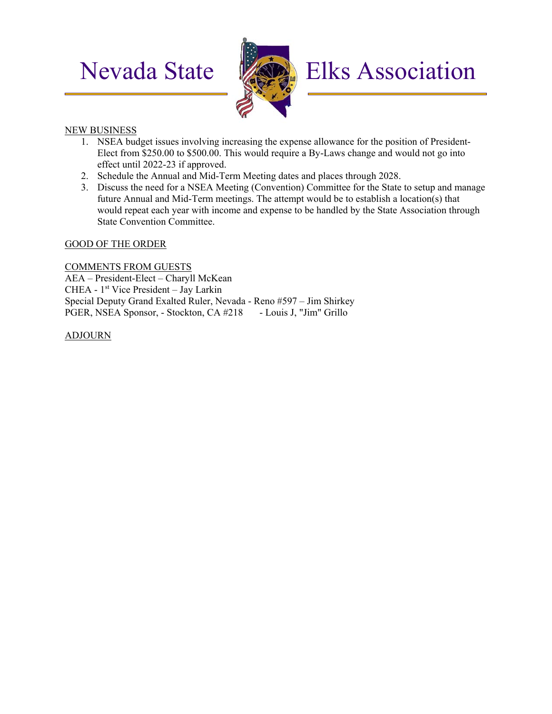

# Nevada State **Elks** Elks Association

### NEW BUSINESS

- 1. NSEA budget issues involving increasing the expense allowance for the position of President-Elect from \$250.00 to \$500.00. This would require a By-Laws change and would not go into effect until 2022-23 if approved.
- 2. Schedule the Annual and Mid-Term Meeting dates and places through 2028.
- 3. Discuss the need for a NSEA Meeting (Convention) Committee for the State to setup and manage future Annual and Mid-Term meetings. The attempt would be to establish a location(s) that would repeat each year with income and expense to be handled by the State Association through State Convention Committee.

### GOOD OF THE ORDER

COMMENTS FROM GUESTS AEA – President-Elect – Charyll McKean CHEA - 1<sup>st</sup> Vice President – Jay Larkin Special Deputy Grand Exalted Ruler, Nevada - Reno #597 – Jim Shirkey PGER, NSEA Sponsor, - Stockton, CA #218 - Louis J, "Jim" Grillo

ADJOURN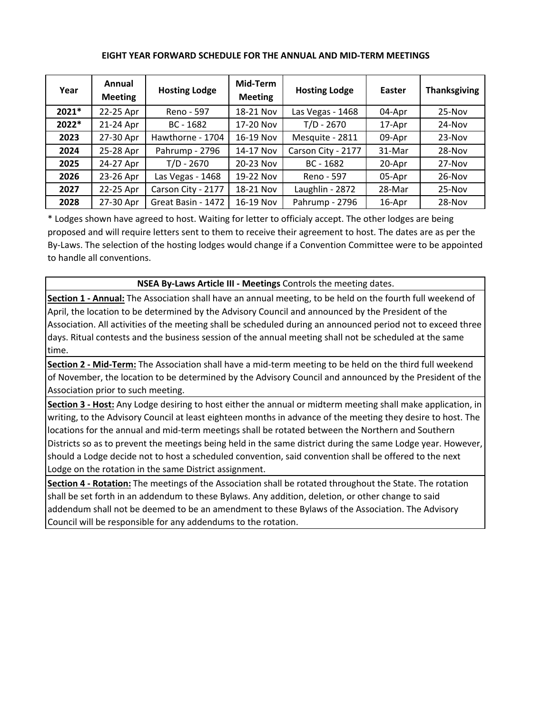| Year    | Annual<br><b>Meeting</b> | <b>Hosting Lodge</b> | Mid-Term<br><b>Meeting</b> | <b>Hosting Lodge</b> | Easter | <b>Thanksgiving</b> |
|---------|--------------------------|----------------------|----------------------------|----------------------|--------|---------------------|
| $2021*$ | 22-25 Apr                | Reno - 597           | 18-21 Nov                  | Las Vegas - 1468     | 04-Apr | $25-Nov$            |
| 2022*   | 21-24 Apr                | $BC - 1682$          | 17-20 Nov                  | $T/D - 2670$         | 17-Apr | 24-Nov              |
| 2023    | 27-30 Apr                | Hawthorne - 1704     | 16-19 Nov                  | Mesquite - 2811      | 09-Apr | $23-Nov$            |
| 2024    | 25-28 Apr                | Pahrump - 2796       | 14-17 Nov                  | Carson City - 2177   | 31-Mar | $28-Nov$            |
| 2025    | 24-27 Apr                | T/D - 2670           | 20-23 Nov                  | $BC - 1682$          | 20-Apr | 27-Nov              |
| 2026    | 23-26 Apr                | Las Vegas - 1468     | 19-22 Nov                  | Reno - 597           | 05-Apr | $26-Nov$            |
| 2027    | 22-25 Apr                | Carson City - 2177   | 18-21 Nov                  | Laughlin - 2872      | 28-Mar | 25-Nov              |
| 2028    | 27-30 Apr                | Great Basin - 1472   | 16-19 Nov                  | Pahrump - 2796       | 16-Apr | 28-Nov              |

### **EIGHT YEAR FORWARD SCHEDULE FOR THE ANNUAL AND MID‐TERM MEETINGS**

\* Lodges shown have agreed to host. Waiting for letter to officialy accept. The other lodges are being proposed and will require letters sent to them to receive their agreement to host. The dates are as per the By-Laws. The selection of the hosting lodges would change if a Convention Committee were to be appointed to handle all conventions.

### **NSEA By‐Laws Article III ‐ Meetings** Controls the meeting dates.

**Section 1 ‐ Annual:** The Association shall have an annual meeting, to be held on the fourth full weekend of April, the location to be determined by the Advisory Council and announced by the President of the Association. All activities of the meeting shall be scheduled during an announced period not to exceed three days. Ritual contests and the business session of the annual meeting shall not be scheduled at the same time.

**Section 2 ‐ Mid‐Term:** The Association shall have a mid‐term meeting to be held on the third full weekend of November, the location to be determined by the Advisory Council and announced by the President of the Association prior to such meeting.

**Section 3 ‐ Host:** Any Lodge desiring to host either the annual or midterm meeting shall make application, in writing, to the Advisory Council at least eighteen months in advance of the meeting they desire to host. The locations for the annual and mid‐term meetings shall be rotated between the Northern and Southern Districts so as to prevent the meetings being held in the same district during the same Lodge year. However, should a Lodge decide not to host a scheduled convention, said convention shall be offered to the next Lodge on the rotation in the same District assignment.

**Section 4 ‐ Rotation:** The meetings of the Association shall be rotated throughout the State. The rotation shall be set forth in an addendum to these Bylaws. Any addition, deletion, or other change to said addendum shall not be deemed to be an amendment to these Bylaws of the Association. The Advisory Council will be responsible for any addendums to the rotation.